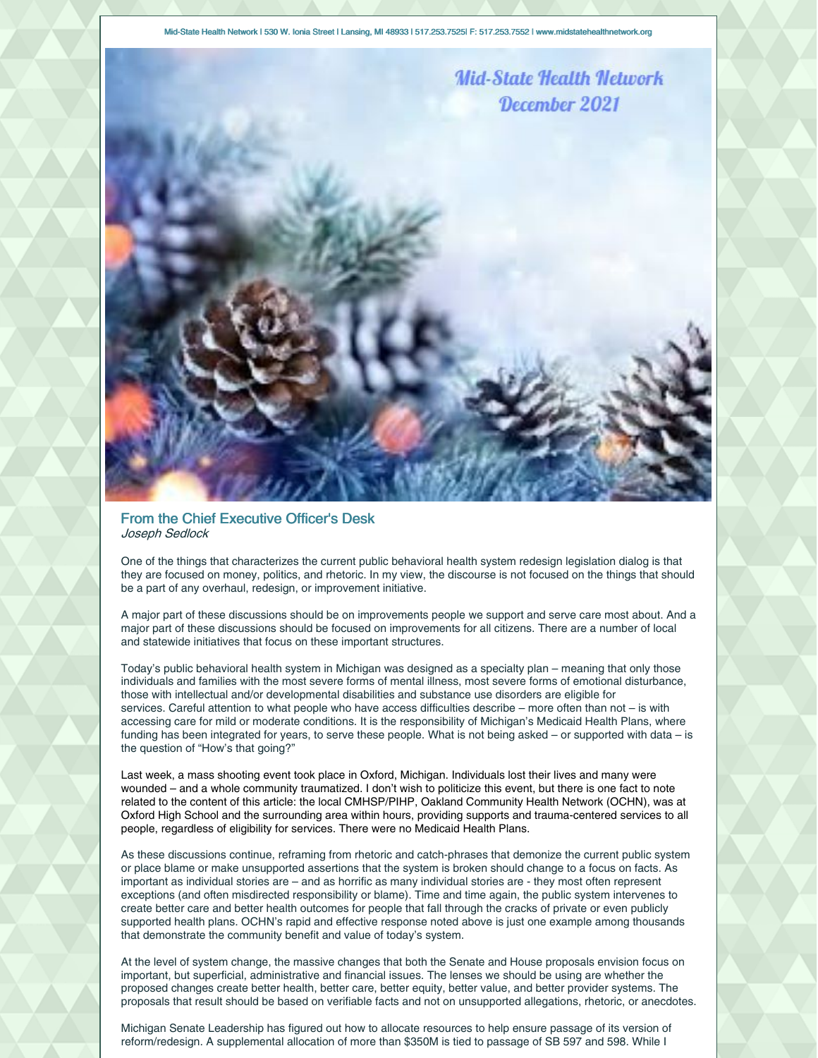Mid-State Health Network | 530 W. Ionia Street | Lansing, MI 48933 | 517.253.7525| F: 517.253.7552 | www.midstatehealthnetwork.org



## From the Chief Executive Officer's Desk Joseph Sedlock

One of the things that characterizes the current public behavioral health system redesign legislation dialog is that they are focused on money, politics, and rhetoric. In my view, the discourse is not focused on the things that should be a part of any overhaul, redesign, or improvement initiative.

A major part of these discussions should be on improvements people we support and serve care most about. And a major part of these discussions should be focused on improvements for all citizens. There are a number of local and statewide initiatives that focus on these important structures.

Today's public behavioral health system in Michigan was designed as a specialty plan – meaning that only those individuals and families with the most severe forms of mental illness, most severe forms of emotional disturbance, those with intellectual and/or developmental disabilities and substance use disorders are eligible for services. Careful attention to what people who have access difficulties describe – more often than not – is with accessing care for mild or moderate conditions. It is the responsibility of Michigan's Medicaid Health Plans, where funding has been integrated for years, to serve these people. What is not being asked – or supported with data – is the question of "How's that going?"

Last week, a mass shooting event took place in Oxford, Michigan. Individuals lost their lives and many were wounded – and a whole community traumatized. I don't wish to politicize this event, but there is one fact to note related to the content of this article: the local CMHSP/PIHP, Oakland Community Health Network (OCHN), was at Oxford High School and the surrounding area within hours, providing supports and trauma-centered services to all people, regardless of eligibility for services. There were no Medicaid Health Plans.

As these discussions continue, reframing from rhetoric and catch-phrases that demonize the current public system or place blame or make unsupported assertions that the system is broken should change to a focus on facts. As important as individual stories are – and as horrific as many individual stories are - they most often represent exceptions (and often misdirected responsibility or blame). Time and time again, the public system intervenes to create better care and better health outcomes for people that fall through the cracks of private or even publicly supported health plans. OCHN's rapid and effective response noted above is just one example among thousands that demonstrate the community benefit and value of today's system.

At the level of system change, the massive changes that both the Senate and House proposals envision focus on important, but superficial, administrative and financial issues. The lenses we should be using are whether the proposed changes create better health, better care, better equity, better value, and better provider systems. The proposals that result should be based on verifiable facts and not on unsupported allegations, rhetoric, or anecdotes.

Michigan Senate Leadership has figured out how to allocate resources to help ensure passage of its version of reform/redesign. A supplemental allocation of more than \$350M is tied to passage of SB 597 and 598. While I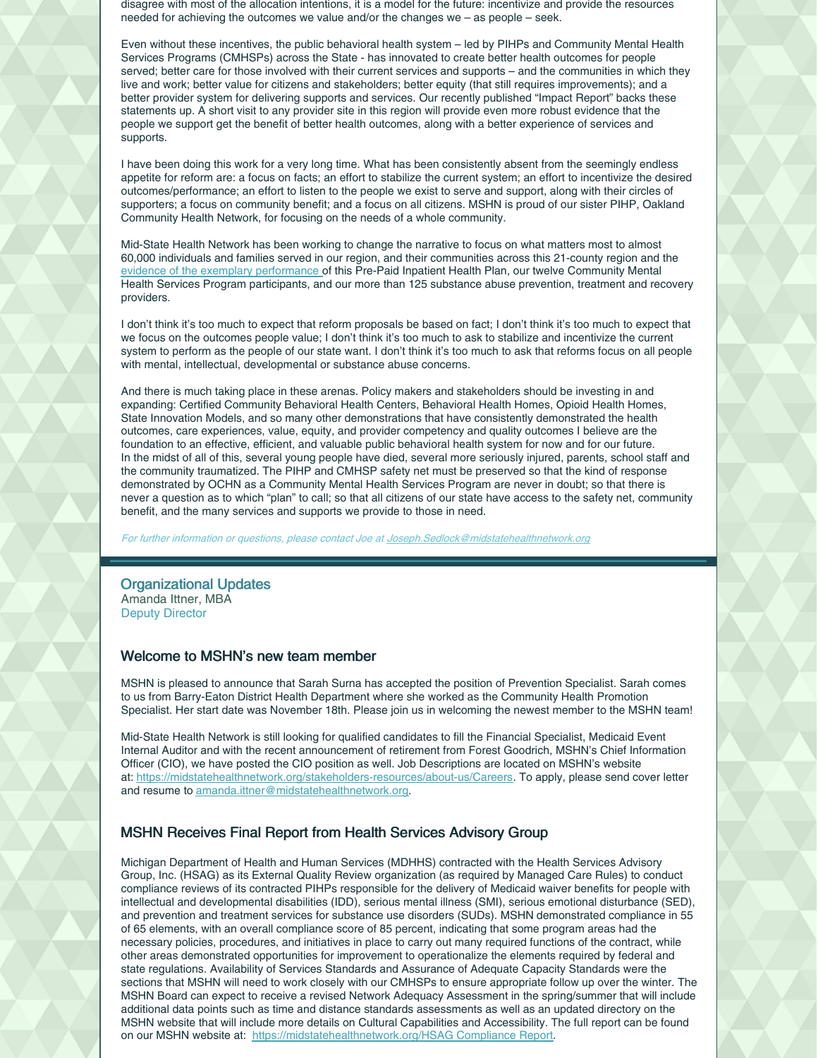disagree with most of the allocation intentions, it is a model for the future: incentivize and provide the resources needed for achieving the outcomes we value and/or the changes we – as people – seek.

Even without these incentives, the public behavioral health system – led by PIHPs and Community Mental Health Services Programs (CMHSPs) across the State - has innovated to create better health outcomes for people served; better care for those involved with their current services and supports – and the communities in which they live and work; better value for citizens and stakeholders; better equity (that still requires improvements); and a better provider system for delivering supports and services. Our recently published "Impact Report" backs these statements up. A short visit to any provider site in this region will provide even more robust evidence that the people we support get the benefit of better health outcomes, along with a better experience of services and supports.

I have been doing this work for a very long time. What has been consistently absent from the seemingly endless appetite for reform are: a focus on facts; an effort to stabilize the current system; an effort to incentivize the desired outcomes/performance; an effort to listen to the people we exist to serve and support, along with their circles of supporters; a focus on community benefit; and a focus on all citizens. MSHN is proud of our sister PIHP, Oakland Community Health Network, for focusing on the needs of a whole community.

Mid-State Health Network has been working to change the narrative to focus on what matters most to almost 60,000 individuals and families served in our region, and their communities across this 21-county region and the evidence of the exemplary [performance](https://midstatehealthnetwork.org/application/files/3016/0163/4584/Impact_Report_-_Mid-State_Health_Network_-_For_Distribution.pdf) of this Pre-Paid Inpatient Health Plan, our twelve Community Mental Health Services Program participants, and our more than 125 substance abuse prevention, treatment and recovery providers.

I don't think it's too much to expect that reform proposals be based on fact; I don't think it's too much to expect that we focus on the outcomes people value; I don't think it's too much to ask to stabilize and incentivize the current system to perform as the people of our state want. I don't think it's too much to ask that reforms focus on all people with mental, intellectual, developmental or substance abuse concerns.

And there is much taking place in these arenas. Policy makers and stakeholders should be investing in and expanding: Certified Community Behavioral Health Centers, Behavioral Health Homes, Opioid Health Homes, State Innovation Models, and so many other demonstrations that have consistently demonstrated the health outcomes, care experiences, value, equity, and provider competency and quality outcomes I believe are the foundation to an effective, efficient, and valuable public behavioral health system for now and for our future. In the midst of all of this, several young people have died, several more seriously injured, parents, school staff and the community traumatized. The PIHP and CMHSP safety net must be preserved so that the kind of response demonstrated by OCHN as a Community Mental Health Services Program are never in doubt; so that there is never a question as to which "plan" to call; so that all citizens of our state have access to the safety net, community benefit, and the many services and supports we provide to those in need.

For further information or questions, please contact Joe at [Joseph.Sedlock@midstatehealthnetwork.org](mailto:Joseph.Sedlock@midstatehealthnetwork.org)

## Organizational Updates Amanda Ittner, MBA Deputy Director

## Welcome to MSHN's new team member

MSHN is pleased to announce that Sarah Surna has accepted the position of Prevention Specialist. Sarah comes to us from Barry-Eaton District Health Department where she worked as the Community Health Promotion Specialist. Her start date was November 18th. Please join us in welcoming the newest member to the MSHN team!

Mid-State Health Network is still looking for qualified candidates to fill the Financial Specialist, Medicaid Event Internal Auditor and with the recent announcement of retirement from Forest Goodrich, MSHN's Chief Information Officer (CIO), we have posted the CIO position as well. Job Descriptions are located on MSHN's website at: <https://midstatehealthnetwork.org/stakeholders-resources/about-us/Careers>. To apply, please send cover letter and resume to [amanda.ittner@midstatehealthnetwork.org](mailto:amanda.ittner@midstatehealthnetwork.org).

## MSHN Receives Final Report from Health Services Advisory Group

Michigan Department of Health and Human Services (MDHHS) contracted with the Health Services Advisory Group, Inc. (HSAG) as its External Quality Review organization (as required by Managed Care Rules) to conduct compliance reviews of its contracted PIHPs responsible for the delivery of Medicaid waiver benefits for people with intellectual and developmental disabilities (IDD), serious mental illness (SMI), serious emotional disturbance (SED), and prevention and treatment services for substance use disorders (SUDs). MSHN demonstrated compliance in 55 of 65 elements, with an overall compliance score of 85 percent, indicating that some program areas had the necessary policies, procedures, and initiatives in place to carry out many required functions of the contract, while other areas demonstrated opportunities for improvement to operationalize the elements required by federal and state regulations. Availability of Services Standards and Assurance of Adequate Capacity Standards were the sections that MSHN will need to work closely with our CMHSPs to ensure appropriate follow up over the winter. The MSHN Board can expect to receive a revised Network Adequacy Assessment in the spring/summer that will include additional data points such as time and distance standards assessments as well as an updated directory on the MSHN website that will include more details on Cultural Capabilities and Accessibility. The full report can be found on our MSHN website at: [https://midstatehealthnetwork.org/HSAG](https://midstatehealthnetwork.org/download_file/2710/0) Compliance Report.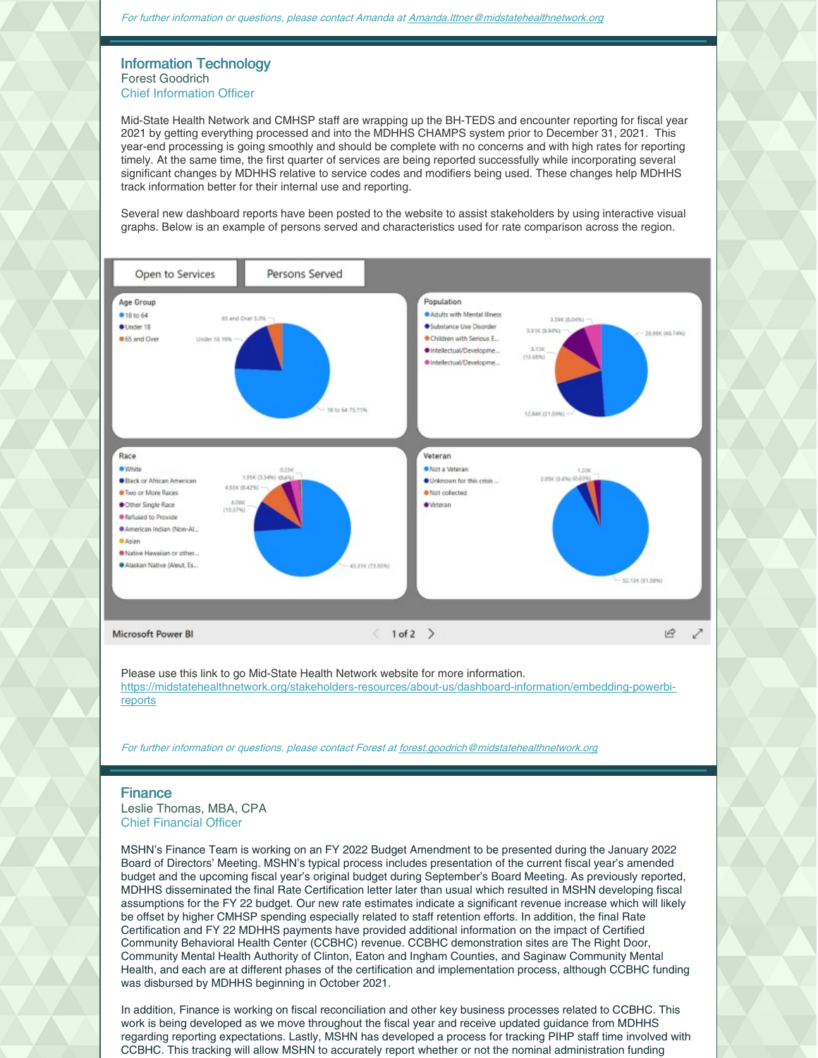### Information Technology Forest Goodrich Chief Information Officer

Mid-State Health Network and CMHSP staff are wrapping up the BH-TEDS and encounter reporting for fiscal year 2021 by getting everything processed and into the MDHHS CHAMPS system prior to December 31, 2021. This year-end processing is going smoothly and should be complete with no concerns and with high rates for reporting timely. At the same time, the first quarter of services are being reported successfully while incorporating several significant changes by MDHHS relative to service codes and modifiers being used. These changes help MDHHS track information better for their internal use and reporting.

Several new dashboard reports have been posted to the website to assist stakeholders by using interactive visual graphs. Below is an example of persons served and characteristics used for rate comparison across the region.



Please use this link to go Mid-State Health Network website for more information. [https://midstatehealthnetwork.org/stakeholders-resources/about-us/dashboard-information/embedding-powerbi](https://midstatehealthnetwork.org/stakeholders-resources/about-us/dashboard-information/embedding-powerbi-reports)reports

For further information or questions, please contact Forest at [forest.goodrich@midstatehealthnetwork.org](mailto:forest.goodrich@midstatehealthnetwork.org)

## Finance

Leslie Thomas, MBA, CPA Chief Financial Officer

MSHN's Finance Team is working on an FY 2022 Budget Amendment to be presented during the January 2022 Board of Directors' Meeting. MSHN's typical process includes presentation of the current fiscal year's amended budget and the upcoming fiscal year's original budget during September's Board Meeting. As previously reported, MDHHS disseminated the final Rate Certification letter later than usual which resulted in MSHN developing fiscal assumptions for the FY 22 budget. Our new rate estimates indicate a significant revenue increase which will likely be offset by higher CMHSP spending especially related to staff retention efforts. In addition, the final Rate Certification and FY 22 MDHHS payments have provided additional information on the impact of Certified Community Behavioral Health Center (CCBHC) revenue. CCBHC demonstration sites are The Right Door, Community Mental Health Authority of Clinton, Eaton and Ingham Counties, and Saginaw Community Mental Health, and each are at different phases of the certification and implementation process, although CCBHC funding was disbursed by MDHHS beginning in October 2021.

In addition, Finance is working on fiscal reconciliation and other key business processes related to CCBHC. This work is being developed as we move throughout the fiscal year and receive updated guidance from MDHHS regarding reporting expectations. Lastly, MSHN has developed a process for tracking PIHP staff time involved with CCBHC. This tracking will allow MSHN to accurately report whether or not the nominal administration funding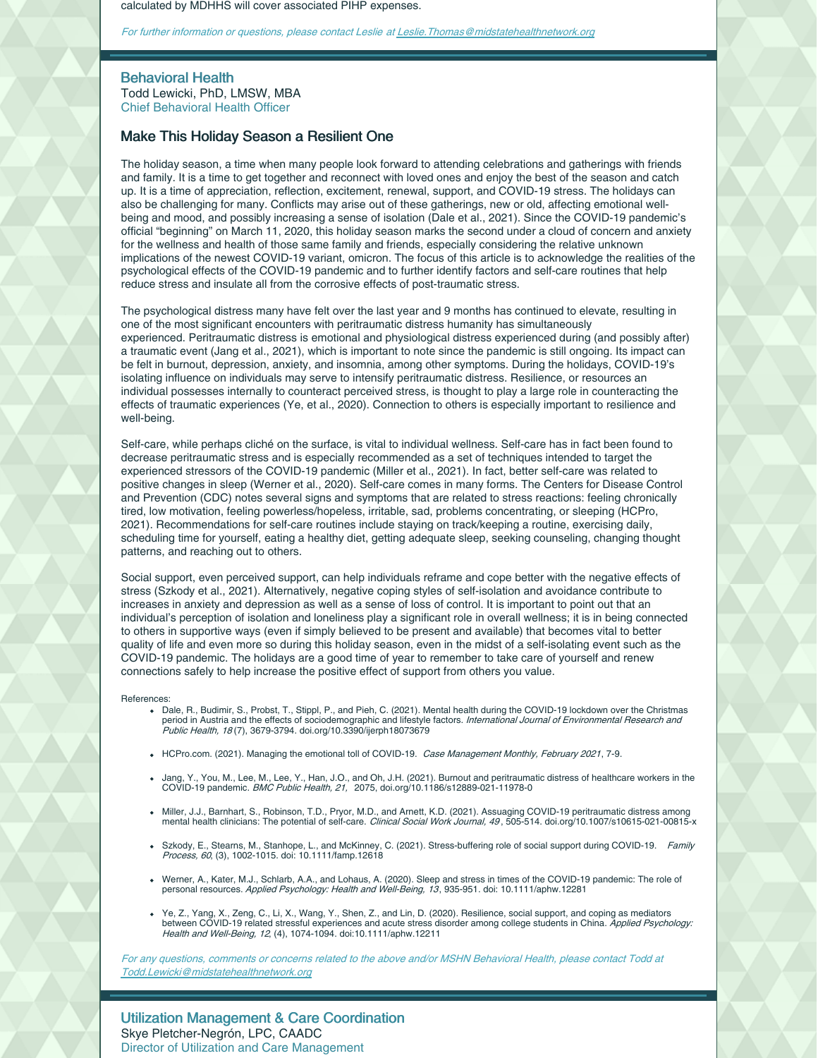calculated by MDHHS will cover associated PIHP expenses.

For further information or questions, please contact Leslie at [Leslie.Thomas@midstatehealthnetwork.org](mailto:Leslie.Thomas@midstatehealthnetwork.org)

Behavioral Health

Todd Lewicki, PhD, LMSW, MBA Chief Behavioral Health Officer

## Make This Holiday Season a Resilient One

The holiday season, a time when many people look forward to attending celebrations and gatherings with friends and family. It is a time to get together and reconnect with loved ones and enjoy the best of the season and catch up. It is a time of appreciation, reflection, excitement, renewal, support, and COVID-19 stress. The holidays can also be challenging for many. Conflicts may arise out of these gatherings, new or old, affecting emotional wellbeing and mood, and possibly increasing a sense of isolation (Dale et al., 2021). Since the COVID-19 pandemic's official "beginning" on March 11, 2020, this holiday season marks the second under a cloud of concern and anxiety for the wellness and health of those same family and friends, especially considering the relative unknown implications of the newest COVID-19 variant, omicron. The focus of this article is to acknowledge the realities of the psychological effects of the COVID-19 pandemic and to further identify factors and self-care routines that help reduce stress and insulate all from the corrosive effects of post-traumatic stress.

The psychological distress many have felt over the last year and 9 months has continued to elevate, resulting in one of the most significant encounters with peritraumatic distress humanity has simultaneously experienced. Peritraumatic distress is emotional and physiological distress experienced during (and possibly after) a traumatic event (Jang et al., 2021), which is important to note since the pandemic is still ongoing. Its impact can be felt in burnout, depression, anxiety, and insomnia, among other symptoms. During the holidays, COVID-19's isolating influence on individuals may serve to intensify peritraumatic distress. Resilience, or resources an individual possesses internally to counteract perceived stress, is thought to play a large role in counteracting the effects of traumatic experiences (Ye, et al., 2020). Connection to others is especially important to resilience and well-being.

Self-care, while perhaps cliché on the surface, is vital to individual wellness. Self-care has in fact been found to decrease peritraumatic stress and is especially recommended as a set of techniques intended to target the experienced stressors of the COVID-19 pandemic (Miller et al., 2021). In fact, better self-care was related to positive changes in sleep (Werner et al., 2020). Self-care comes in many forms. The Centers for Disease Control and Prevention (CDC) notes several signs and symptoms that are related to stress reactions: feeling chronically tired, low motivation, feeling powerless/hopeless, irritable, sad, problems concentrating, or sleeping (HCPro, 2021). Recommendations for self-care routines include staying on track/keeping a routine, exercising daily, scheduling time for yourself, eating a healthy diet, getting adequate sleep, seeking counseling, changing thought patterns, and reaching out to others.

Social support, even perceived support, can help individuals reframe and cope better with the negative effects of stress (Szkody et al., 2021). Alternatively, negative coping styles of self-isolation and avoidance contribute to increases in anxiety and depression as well as a sense of loss of control. It is important to point out that an individual's perception of isolation and loneliness play a significant role in overall wellness; it is in being connected to others in supportive ways (even if simply believed to be present and available) that becomes vital to better quality of life and even more so during this holiday season, even in the midst of a self-isolating event such as the COVID-19 pandemic. The holidays are a good time of year to remember to take care of yourself and renew connections safely to help increase the positive effect of support from others you value.

#### References:

- Dale, R., Budimir, S., Probst, T., Stippl, P., and Pieh, C. (2021). Mental health during the COVID-19 lockdown over the Christmas<br>period in Austria and the effects of sociodemographic and lifestyle factors. *International* Public Health, 18 (7), 3679-3794. doi.org/10.3390/ijerph18073679
- HCPro.com. (2021). Managing the emotional toll of COVID-19. Case Management Monthly, February 2021, 7-9.
- Jang, Y., You, M., Lee, M., Lee, Y., Han, J.O., and Oh, J.H. (2021). Burnout and peritraumatic distress of healthcare workers in the<br>COVID-19 pandemic. *BMC Public Health, 21, 2*075, doi.org/10.1186/s12889-021-11978-0
- Miller, J.J., Barnhart, S., Robinson, T.D., Pryor, M.D., and Arnett, K.D. (2021). Assuaging COVID-19 peritraumatic distress among mental health clinicians: The potential of self-care. Clinical Social Work Journal, 49, 505-514. doi.org/10.1007/s10615-021-00815-x
- Szkody, E., Stearns, M., Stanhope, L., and McKinney, C. (2021). Stress-buffering role of social support during COVID-19. Family Process, 60, (3), 1002-1015. doi: 10.1111/famp.12618
- Werner, A., Kater, M.J., Schlarb, A.A., and Lohaus, A. (2020). Sleep and stress in times of the COVID-19 pandemic: The role of<br>personal resources. *Applied Psychology: Health and Well-Being, 13*, 935-951. doi: 10.1111/aphw
- Ye, Z., Yang, X., Zeng, C., Li, X., Wang, Y., Shen, Z., and Lin, D. (2020). Resilience, social support, and coping as mediators between COVID-19 related stressful experiences and acute stress disorder among college students in China. Applied Psychology: Health and Well-Being, 12, (4), 1074-1094. doi:10.1111/aphw.12211

For any questions, comments or concerns related to the above and/or MSHN Behavioral Health, please contact Todd at [Todd.Lewicki@midstatehealthnetwork.org](mailto:Todd.Lewicki@midstatehealthnetwork.org)

Utilization Management & Care Coordination Skye Pletcher-Negrón, LPC, CAADC Director of Utilization and Care Management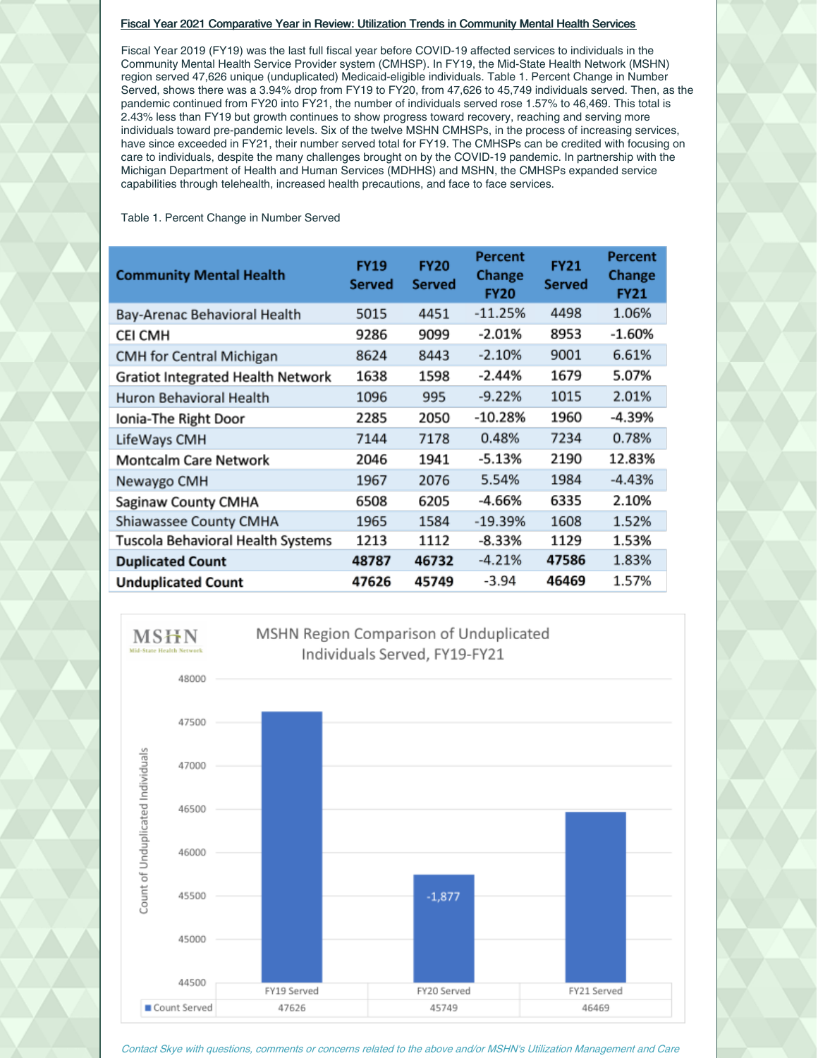### Fiscal Year 2021 Comparative Year in Review: Utilization Trends in Community Mental Health Services

Fiscal Year 2019 (FY19) was the last full fiscal year before COVID-19 affected services to individuals in the Community Mental Health Service Provider system (CMHSP). In FY19, the Mid-State Health Network (MSHN) region served 47,626 unique (unduplicated) Medicaid-eligible individuals. Table 1. Percent Change in Number Served, shows there was a 3.94% drop from FY19 to FY20, from 47,626 to 45,749 individuals served. Then, as the pandemic continued from FY20 into FY21, the number of individuals served rose 1.57% to 46,469. This total is 2.43% less than FY19 but growth continues to show progress toward recovery, reaching and serving more individuals toward pre-pandemic levels. Six of the twelve MSHN CMHSPs, in the process of increasing services, have since exceeded in FY21, their number served total for FY19. The CMHSPs can be credited with focusing on care to individuals, despite the many challenges brought on by the COVID-19 pandemic. In partnership with the Michigan Department of Health and Human Services (MDHHS) and MSHN, the CMHSPs expanded service capabilities through telehealth, increased health precautions, and face to face services.

Table 1. Percent Change in Number Served

| <b>Community Mental Health</b>    | <b>FY19</b><br><b>Served</b> | <b>FY20</b><br><b>Served</b> | <b>Percent</b><br><b>Change</b><br><b>FY20</b> | <b>FY21</b><br><b>Served</b> | Percent<br><b>Change</b><br><b>FY21</b> |
|-----------------------------------|------------------------------|------------------------------|------------------------------------------------|------------------------------|-----------------------------------------|
| Bay-Arenac Behavioral Health      | 5015                         | 4451                         | $-11.25%$                                      | 4498                         | 1.06%                                   |
| CEI CMH                           | 9286                         | 9099                         | $-2.01%$                                       | 8953                         | -1.60%                                  |
| <b>CMH</b> for Central Michigan   | 8624                         | 8443                         | $-2.10%$                                       | 9001                         | 6.61%                                   |
| Gratiot Integrated Health Network | 1638                         | 1598                         | $-2.44%$                                       | 1679                         | 5.07%                                   |
| Huron Behavioral Health           | 1096                         | 995                          | $-9.22%$                                       | 1015                         | 2.01%                                   |
| Ionia-The Right Door              | 2285                         | 2050                         | $-10.28%$                                      | 1960                         | -4.39%                                  |
| LifeWays CMH                      | 7144                         | 7178                         | 0.48%                                          | 7234                         | 0.78%                                   |
| <b>Montcalm Care Network</b>      | 2046                         | 1941                         | -5.13%                                         | 2190                         | 12.83%                                  |
| Newaygo CMH                       | 1967                         | 2076                         | 5.54%                                          | 1984                         | -4.43%                                  |
| Saginaw County CMHA               | 6508                         | 6205                         | -4.66%                                         | 6335                         | 2.10%                                   |
| Shiawassee County CMHA            | 1965                         | 1584                         | $-19.39%$                                      | 1608                         | 1.52%                                   |
| Tuscola Behavioral Health Systems | 1213                         | 1112                         | -8.33%                                         | 1129                         | 1.53%                                   |
| <b>Duplicated Count</b>           | 48787                        | 46732                        | $-4.21%$                                       | 47586                        | 1.83%                                   |
| <b>Unduplicated Count</b>         | 47626                        | 45749                        | $-3.94$                                        | 46469                        | 1.57%                                   |



Contact Skye with questions, comments or concerns related to the above and/or MSHN's Utilization Management and Care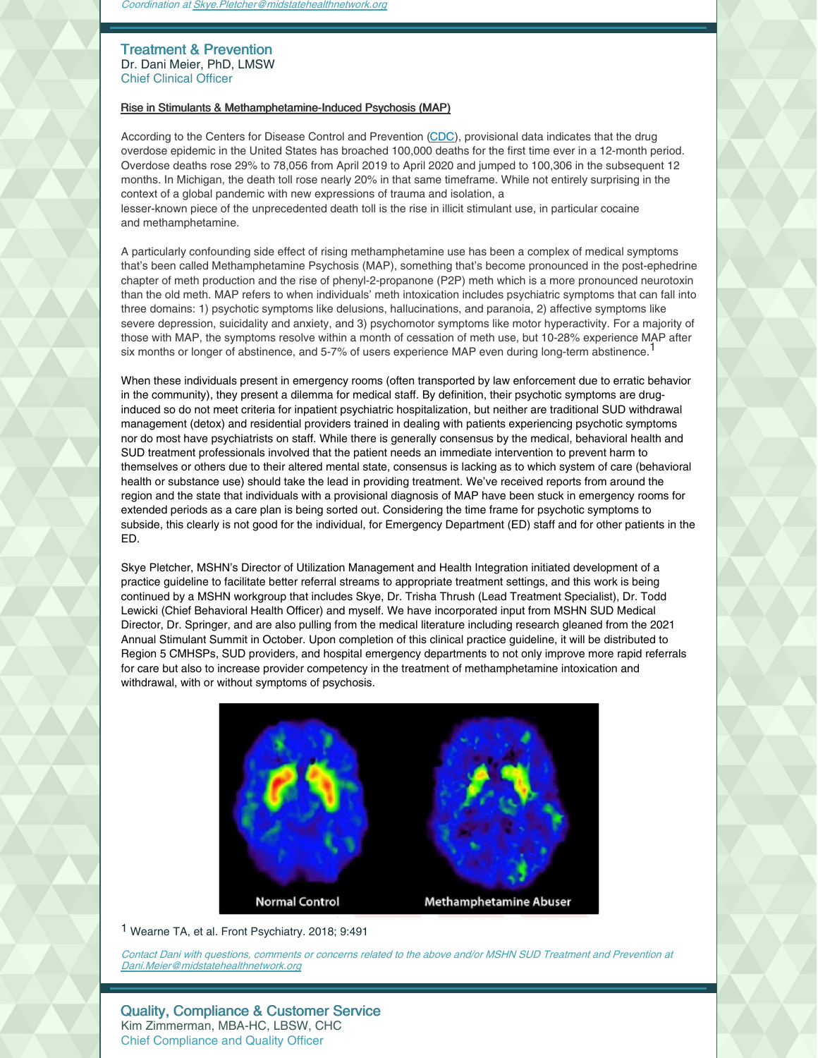## Treatment & Prevention Dr. Dani Meier, PhD, LMSW Chief Clinical Officer

### Rise in Stimulants & Methamphetamine-Induced Psychosis (MAP)

According to the Centers for Disease Control and Prevention [\(CDC](https://nam11.safelinks.protection.outlook.com/?url=https%3A%2F%2Fwww.cdc.gov%2Fnchs%2Fnvss%2Fvsrr%2Fdrug-overdose-data.htm&data=04%7C01%7C%7C9cce2b56c5964e5fc37f08d9b353ae8d%7C843a070b9fc1420ea2dee05952409d46%7C0%7C0%7C637737994290702045%7CUnknown%7CTWFpbGZsb3d8eyJWIjoiMC4wLjAwMDAiLCJQIjoiV2luMzIiLCJBTiI6Ik1haWwiLCJXVCI6Mn0%3D%7C3000&sdata=JiyDR3qVm3H526G1C5v6pUC%2BmGRYazrjitmE6He12tQ%3D&reserved=0)), provisional data indicates that the drug overdose epidemic in the United States has broached 100,000 deaths for the first time ever in a 12-month period. Overdose deaths rose 29% to 78,056 from April 2019 to April 2020 and jumped to 100,306 in the subsequent 12 months. In Michigan, the death toll rose nearly 20% in that same timeframe. While not entirely surprising in the context of a global pandemic with new expressions of trauma and isolation, a lesser-known piece of the unprecedented death toll is the rise in illicit stimulant use, in particular cocaine and methamphetamine.

A particularly confounding side effect of rising methamphetamine use has been a complex of medical symptoms that's been called Methamphetamine Psychosis (MAP), something that's become pronounced in the post-ephedrine chapter of meth production and the rise of phenyl-2-propanone (P2P) meth which is a more pronounced neurotoxin than the old meth. MAP refers to when individuals' meth intoxication includes psychiatric symptoms that can fall into three domains: 1) psychotic symptoms like delusions, hallucinations, and paranoia, 2) affective symptoms like severe depression, suicidality and anxiety, and 3) psychomotor symptoms like motor hyperactivity. For a majority of those with MAP, the symptoms resolve within a month of cessation of meth use, but 10-28% experience MAP after six months or longer of abstinence, and 5-7% of users experience MAP even during long-term abstinence.<sup>1</sup>

When these individuals present in emergency rooms (often transported by law enforcement due to erratic behavior in the community), they present a dilemma for medical staff. By definition, their psychotic symptoms are druginduced so do not meet criteria for inpatient psychiatric hospitalization, but neither are traditional SUD withdrawal management (detox) and residential providers trained in dealing with patients experiencing psychotic symptoms nor do most have psychiatrists on staff. While there is generally consensus by the medical, behavioral health and SUD treatment professionals involved that the patient needs an immediate intervention to prevent harm to themselves or others due to their altered mental state, consensus is lacking as to which system of care (behavioral health or substance use) should take the lead in providing treatment. We've received reports from around the region and the state that individuals with a provisional diagnosis of MAP have been stuck in emergency rooms for extended periods as a care plan is being sorted out. Considering the time frame for psychotic symptoms to subside, this clearly is not good for the individual, for Emergency Department (ED) staff and for other patients in the ED.

Skye Pletcher, MSHN's Director of Utilization Management and Health Integration initiated development of a practice guideline to facilitate better referral streams to appropriate treatment settings, and this work is being continued by a MSHN workgroup that includes Skye, Dr. Trisha Thrush (Lead Treatment Specialist), Dr. Todd Lewicki (Chief Behavioral Health Officer) and myself. We have incorporated input from MSHN SUD Medical Director, Dr. Springer, and are also pulling from the medical literature including research gleaned from the 2021 Annual Stimulant Summit in October. Upon completion of this clinical practice guideline, it will be distributed to Region 5 CMHSPs, SUD providers, and hospital emergency departments to not only improve more rapid referrals for care but also to increase provider competency in the treatment of methamphetamine intoxication and withdrawal, with or without symptoms of psychosis.



1 Wearne TA, et al. Front Psychiatry. 2018; 9:491

Contact Dani with questions, comments or concerns related to the above and/or MSHN SUD Treatment and Prevention at [Dani.Meier@midstatehealthnetwork.org](mailto:Dani.Meier@midstatehealthnetwork.org)

Quality, Compliance & Customer Service Kim Zimmerman, MBA-HC, LBSW, CHC Chief Compliance and Quality Officer